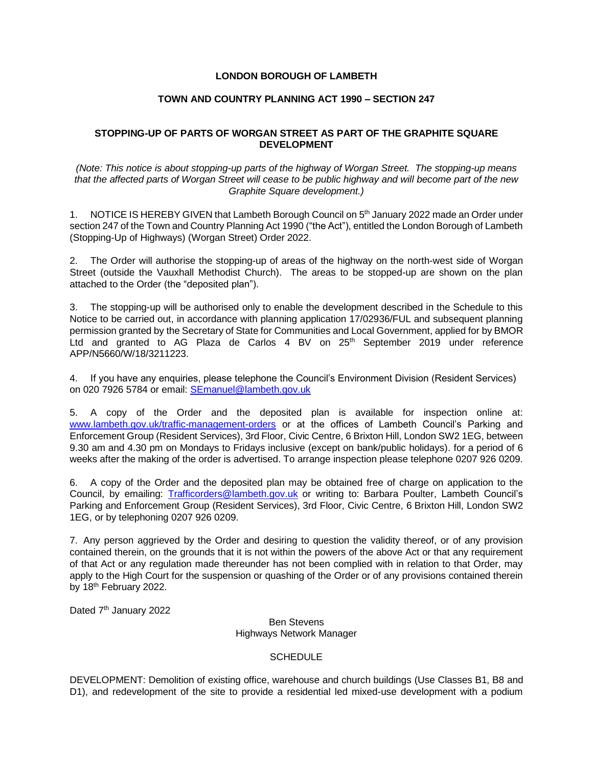## **LONDON BOROUGH OF LAMBETH**

## **TOWN AND COUNTRY PLANNING ACT 1990 – SECTION 247**

## **STOPPING-UP OF PARTS OF WORGAN STREET AS PART OF THE GRAPHITE SQUARE DEVELOPMENT**

*(Note: This notice is about stopping-up parts of the highway of Worgan Street. The stopping-up means that the affected parts of Worgan Street will cease to be public highway and will become part of the new Graphite Square development.)*

1. NOTICE IS HEREBY GIVEN that Lambeth Borough Council on 5<sup>th</sup> January 2022 made an Order under section 247 of the Town and Country Planning Act 1990 ("the Act"), entitled the London Borough of Lambeth (Stopping-Up of Highways) (Worgan Street) Order 2022.

2. The Order will authorise the stopping-up of areas of the highway on the north-west side of Worgan Street (outside the Vauxhall Methodist Church). The areas to be stopped-up are shown on the plan attached to the Order (the "deposited plan").

3. The stopping-up will be authorised only to enable the development described in the Schedule to this Notice to be carried out, in accordance with planning application 17/02936/FUL and subsequent planning permission granted by the Secretary of State for Communities and Local Government, applied for by BMOR Ltd and granted to AG Plaza de Carlos 4 BV on 25<sup>th</sup> September 2019 under reference APP/N5660/W/18/3211223.

4. If you have any enquiries, please telephone the Council's Environment Division (Resident Services) on 020 7926 5784 or email: [SEmanuel@lambeth.gov.uk](mailto:SEmanuel@lambeth.gov.uk)

5. A copy of the Order and the deposited plan is available for inspection online at: [www.lambeth.gov.uk/traffic-management-orders](http://www.lambeth.gov.uk/traffic-management-orders) or at the offices of Lambeth Council's Parking and Enforcement Group (Resident Services), 3rd Floor, Civic Centre, 6 Brixton Hill, London SW2 1EG, between 9.30 am and 4.30 pm on Mondays to Fridays inclusive (except on bank/public holidays). for a period of 6 weeks after the making of the order is advertised. To arrange inspection please telephone 0207 926 0209.

6. A copy of the Order and the deposited plan may be obtained free of charge on application to the Council, by emailing: [Trafficorders@lambeth.gov.uk](mailto:Trafficorders@lambeth.gov.uk) or writing to: Barbara Poulter, Lambeth Council's Parking and Enforcement Group (Resident Services), 3rd Floor, Civic Centre, 6 Brixton Hill, London SW2 1EG, or by telephoning 0207 926 0209.

7. Any person aggrieved by the Order and desiring to question the validity thereof, or of any provision contained therein, on the grounds that it is not within the powers of the above Act or that any requirement of that Act or any regulation made thereunder has not been complied with in relation to that Order, may apply to the High Court for the suspension or quashing of the Order or of any provisions contained therein by 18<sup>th</sup> February 2022.

Dated 7<sup>th</sup> January 2022

Ben Stevens Highways Network Manager

## **SCHEDULE**

DEVELOPMENT: Demolition of existing office, warehouse and church buildings (Use Classes B1, B8 and D1), and redevelopment of the site to provide a residential led mixed-use development with a podium